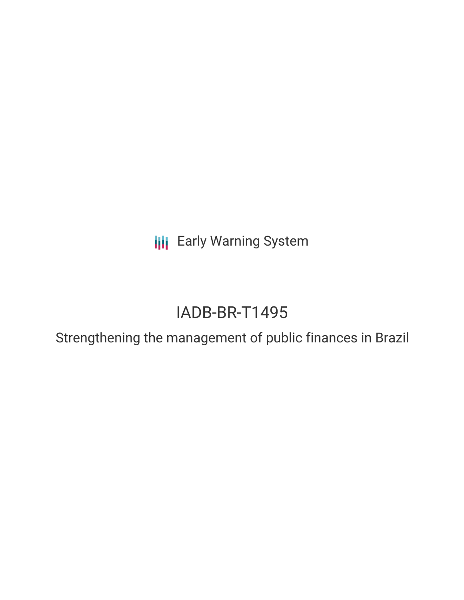**III** Early Warning System

# IADB-BR-T1495

Strengthening the management of public finances in Brazil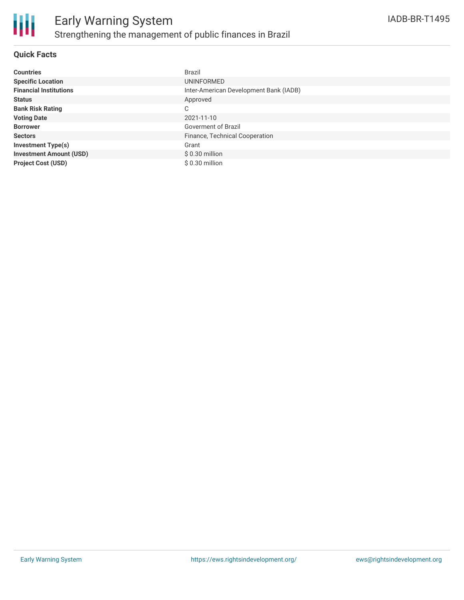

### **Quick Facts**

| <b>Countries</b>               | Brazil                                 |
|--------------------------------|----------------------------------------|
| <b>Specific Location</b>       | UNINFORMED                             |
| <b>Financial Institutions</b>  | Inter-American Development Bank (IADB) |
| <b>Status</b>                  | Approved                               |
| <b>Bank Risk Rating</b>        | C                                      |
| <b>Voting Date</b>             | 2021-11-10                             |
| <b>Borrower</b>                | Goverment of Brazil                    |
| <b>Sectors</b>                 | Finance, Technical Cooperation         |
| <b>Investment Type(s)</b>      | Grant                                  |
| <b>Investment Amount (USD)</b> | $$0.30$ million                        |
| <b>Project Cost (USD)</b>      | $$0.30$ million                        |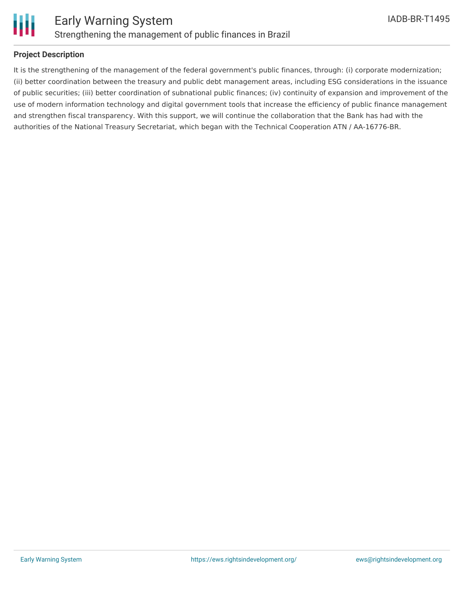

### **Project Description**

It is the strengthening of the management of the federal government's public finances, through: (i) corporate modernization; (ii) better coordination between the treasury and public debt management areas, including ESG considerations in the issuance of public securities; (iii) better coordination of subnational public finances; (iv) continuity of expansion and improvement of the use of modern information technology and digital government tools that increase the efficiency of public finance management and strengthen fiscal transparency. With this support, we will continue the collaboration that the Bank has had with the authorities of the National Treasury Secretariat, which began with the Technical Cooperation ATN / AA-16776-BR.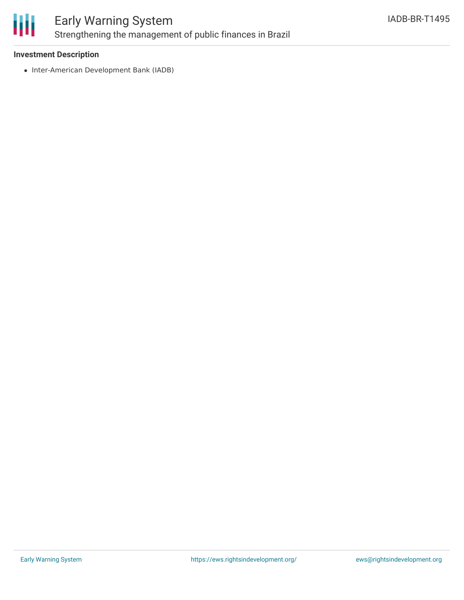

## Early Warning System Strengthening the management of public finances in Brazil

### **Investment Description**

• Inter-American Development Bank (IADB)